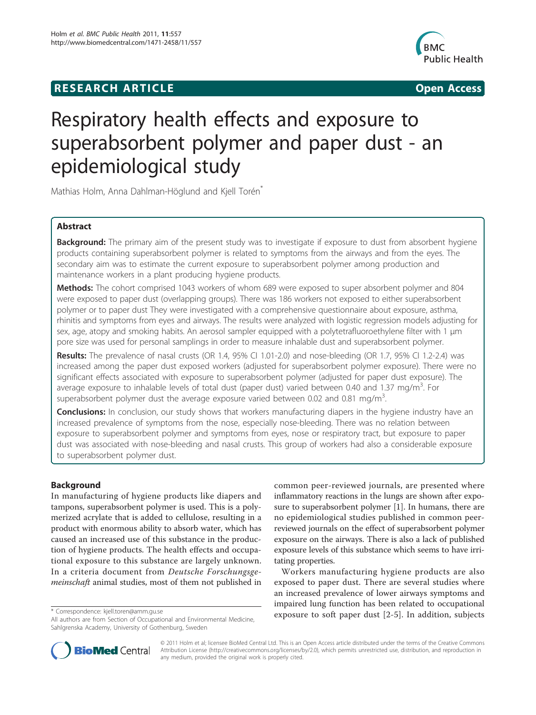## **RESEARCH ARTICLE Example 2018 12:00 THE Open Access**



# Respiratory health effects and exposure to superabsorbent polymer and paper dust - an epidemiological study

Mathias Holm, Anna Dahlman-Höglund and Kjell Torén<sup>\*</sup>

## Abstract

Background: The primary aim of the present study was to investigate if exposure to dust from absorbent hygiene products containing superabsorbent polymer is related to symptoms from the airways and from the eyes. The secondary aim was to estimate the current exposure to superabsorbent polymer among production and maintenance workers in a plant producing hygiene products.

Methods: The cohort comprised 1043 workers of whom 689 were exposed to super absorbent polymer and 804 were exposed to paper dust (overlapping groups). There was 186 workers not exposed to either superabsorbent polymer or to paper dust They were investigated with a comprehensive questionnaire about exposure, asthma, rhinitis and symptoms from eyes and airways. The results were analyzed with logistic regression models adjusting for sex, age, atopy and smoking habits. An aerosol sampler equipped with a polytetrafluoroethylene filter with 1 μm pore size was used for personal samplings in order to measure inhalable dust and superabsorbent polymer.

Results: The prevalence of nasal crusts (OR 1.4, 95% CI 1.01-2.0) and nose-bleeding (OR 1.7, 95% CI 1.2-2.4) was increased among the paper dust exposed workers (adjusted for superabsorbent polymer exposure). There were no significant effects associated with exposure to superabsorbent polymer (adjusted for paper dust exposure). The average exposure to inhalable levels of total dust (paper dust) varied between 0.40 and 1.37 mg/m<sup>3</sup>. For superabsorbent polymer dust the average exposure varied between 0.02 and 0.81 mg/m<sup>3</sup>. .

**Conclusions:** In conclusion, our study shows that workers manufacturing diapers in the hygiene industry have an increased prevalence of symptoms from the nose, especially nose-bleeding. There was no relation between exposure to superabsorbent polymer and symptoms from eyes, nose or respiratory tract, but exposure to paper dust was associated with nose-bleeding and nasal crusts. This group of workers had also a considerable exposure to superabsorbent polymer dust.

## Background

In manufacturing of hygiene products like diapers and tampons, superabsorbent polymer is used. This is a polymerized acrylate that is added to cellulose, resulting in a product with enormous ability to absorb water, which has caused an increased use of this substance in the production of hygiene products. The health effects and occupational exposure to this substance are largely unknown. In a criteria document from Deutsche Forschungsgemeinschaft animal studies, most of them not published in

common peer-reviewed journals, are presented where inflammatory reactions in the lungs are shown after exposure to superabsorbent polymer [[1](#page-5-0)]. In humans, there are no epidemiological studies published in common peerreviewed journals on the effect of superabsorbent polymer exposure on the airways. There is also a lack of published exposure levels of this substance which seems to have irritating properties.

Workers manufacturing hygiene products are also exposed to paper dust. There are several studies where an increased prevalence of lower airways symptoms and impaired lung function has been related to occupational \* Correspondence: kjell.toren@amm.gu.se exposure to soft paper dust [[2](#page-5-0)-[5\]](#page-5-0). In addition, subjects



© 2011 Holm et al; licensee BioMed Central Ltd. This is an Open Access article distributed under the terms of the Creative Commons Attribution License [\(http://creativecommons.org/licenses/by/2.0](http://creativecommons.org/licenses/by/2.0)), which permits unrestricted use, distribution, and reproduction in any medium, provided the original work is properly cited.

All authors are from Section of Occupational and Environmental Medicine, Sahlgrenska Academy, University of Gothenburg, Sweden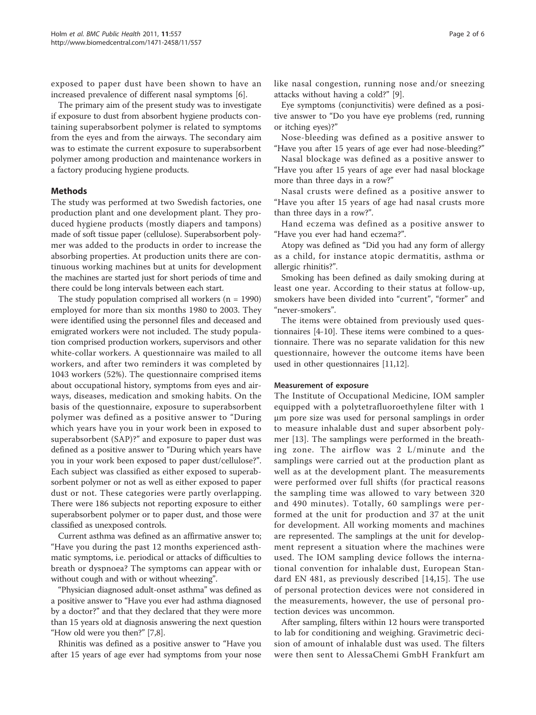exposed to paper dust have been shown to have an increased prevalence of different nasal symptoms [[6\]](#page-5-0).

The primary aim of the present study was to investigate if exposure to dust from absorbent hygiene products containing superabsorbent polymer is related to symptoms from the eyes and from the airways. The secondary aim was to estimate the current exposure to superabsorbent polymer among production and maintenance workers in a factory producing hygiene products.

## Methods

The study was performed at two Swedish factories, one production plant and one development plant. They produced hygiene products (mostly diapers and tampons) made of soft tissue paper (cellulose). Superabsorbent polymer was added to the products in order to increase the absorbing properties. At production units there are continuous working machines but at units for development the machines are started just for short periods of time and there could be long intervals between each start.

The study population comprised all workers  $(n = 1990)$ employed for more than six months 1980 to 2003. They were identified using the personnel files and deceased and emigrated workers were not included. The study population comprised production workers, supervisors and other white-collar workers. A questionnaire was mailed to all workers, and after two reminders it was completed by 1043 workers (52%). The questionnaire comprised items about occupational history, symptoms from eyes and airways, diseases, medication and smoking habits. On the basis of the questionnaire, exposure to superabsorbent polymer was defined as a positive answer to "During which years have you in your work been in exposed to superabsorbent (SAP)?" and exposure to paper dust was defined as a positive answer to "During which years have you in your work been exposed to paper dust/cellulose?". Each subject was classified as either exposed to superabsorbent polymer or not as well as either exposed to paper dust or not. These categories were partly overlapping. There were 186 subjects not reporting exposure to either superabsorbent polymer or to paper dust, and those were classified as unexposed controls.

Current asthma was defined as an affirmative answer to; "Have you during the past 12 months experienced asthmatic symptoms, i.e. periodical or attacks of difficulties to breath or dyspnoea? The symptoms can appear with or without cough and with or without wheezing".

"Physician diagnosed adult-onset asthma" was defined as a positive answer to "Have you ever had asthma diagnosed by a doctor?" and that they declared that they were more than 15 years old at diagnosis answering the next question "How old were you then?" [[7,8](#page-5-0)].

Rhinitis was defined as a positive answer to "Have you after 15 years of age ever had symptoms from your nose like nasal congestion, running nose and/or sneezing attacks without having a cold?" [\[9](#page-5-0)].

Eye symptoms (conjunctivitis) were defined as a positive answer to "Do you have eye problems (red, running or itching eyes)?"

Nose-bleeding was defined as a positive answer to "Have you after 15 years of age ever had nose-bleeding?"

Nasal blockage was defined as a positive answer to "Have you after 15 years of age ever had nasal blockage more than three days in a row?"

Nasal crusts were defined as a positive answer to "Have you after 15 years of age had nasal crusts more than three days in a row?".

Hand eczema was defined as a positive answer to "Have you ever had hand eczema?".

Atopy was defined as "Did you had any form of allergy as a child, for instance atopic dermatitis, asthma or allergic rhinitis?".

Smoking has been defined as daily smoking during at least one year. According to their status at follow-up, smokers have been divided into "current", "former" and "never-smokers".

The items were obtained from previously used questionnaires [\[4](#page-5-0)-[10\]](#page-5-0). These items were combined to a questionnaire. There was no separate validation for this new questionnaire, however the outcome items have been used in other questionnaires [[11,12\]](#page-5-0).

#### Measurement of exposure

The Institute of Occupational Medicine, IOM sampler equipped with a polytetrafluoroethylene filter with 1 μm pore size was used for personal samplings in order to measure inhalable dust and super absorbent polymer [[13\]](#page-5-0). The samplings were performed in the breathing zone. The airflow was 2 L/minute and the samplings were carried out at the production plant as well as at the development plant. The measurements were performed over full shifts (for practical reasons the sampling time was allowed to vary between 320 and 490 minutes). Totally, 60 samplings were performed at the unit for production and 37 at the unit for development. All working moments and machines are represented. The samplings at the unit for development represent a situation where the machines were used. The IOM sampling device follows the international convention for inhalable dust, European Standard EN 481, as previously described [\[14,15](#page-5-0)]. The use of personal protection devices were not considered in the measurements, however, the use of personal protection devices was uncommon.

After sampling, filters within 12 hours were transported to lab for conditioning and weighing. Gravimetric decision of amount of inhalable dust was used. The filters were then sent to AlessaChemi GmbH Frankfurt am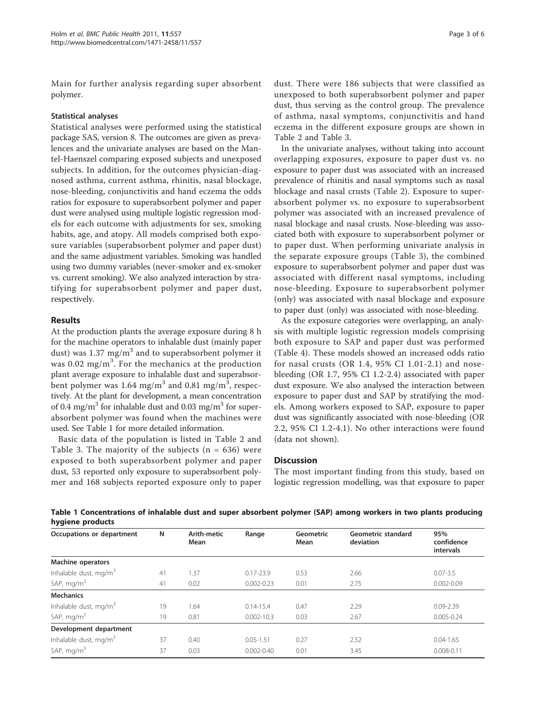Main for further analysis regarding super absorbent polymer.

#### Statistical analyses

Statistical analyses were performed using the statistical package SAS, version 8. The outcomes are given as prevalences and the univariate analyses are based on the Mantel-Haenszel comparing exposed subjects and unexposed subjects. In addition, for the outcomes physician-diagnosed asthma, current asthma, rhinitis, nasal blockage, nose-bleeding, conjunctivitis and hand eczema the odds ratios for exposure to superabsorbent polymer and paper dust were analysed using multiple logistic regression models for each outcome with adjustments for sex, smoking habits, age, and atopy. All models comprised both exposure variables (superabsorbent polymer and paper dust) and the same adjustment variables. Smoking was handled using two dummy variables (never-smoker and ex-smoker vs. current smoking). We also analyzed interaction by stratifying for superabsorbent polymer and paper dust, respectively.

## Results

At the production plants the average exposure during 8 h for the machine operators to inhalable dust (mainly paper dust) was 1.37 mg/m<sup>3</sup> and to superabsorbent polymer it was 0.02 mg/m<sup>3</sup>. For the mechanics at the production plant average exposure to inhalable dust and superabsorbent polymer was  $1.64 \text{ mg/m}^3$  and  $0.81 \text{ mg/m}^3$ , respectively. At the plant for development, a mean concentration of 0.4 mg/m<sup>3</sup> for inhalable dust and 0.03 mg/m<sup>3</sup> for superabsorbent polymer was found when the machines were used. See Table 1 for more detailed information.

Basic data of the population is listed in Table [2](#page-3-0) and Table [3](#page-3-0). The majority of the subjects  $(n = 636)$  were exposed to both superabsorbent polymer and paper dust, 53 reported only exposure to superabsorbent polymer and 168 subjects reported exposure only to paper

dust. There were 186 subjects that were classified as unexposed to both superabsorbent polymer and paper dust, thus serving as the control group. The prevalence of asthma, nasal symptoms, conjunctivitis and hand eczema in the different exposure groups are shown in Table [2](#page-3-0) and Table [3](#page-3-0).

In the univariate analyses, without taking into account overlapping exposures, exposure to paper dust vs. no exposure to paper dust was associated with an increased prevalence of rhinitis and nasal symptoms such as nasal blockage and nasal crusts (Table [2\)](#page-3-0). Exposure to superabsorbent polymer vs. no exposure to superabsorbent polymer was associated with an increased prevalence of nasal blockage and nasal crusts. Nose-bleeding was associated both with exposure to superabsorbent polymer or to paper dust. When performing univariate analysis in the separate exposure groups (Table [3\)](#page-3-0), the combined exposure to superabsorbent polymer and paper dust was associated with different nasal symptoms, including nose-bleeding. Exposure to superabsorbent polymer (only) was associated with nasal blockage and exposure to paper dust (only) was associated with nose-bleeding.

As the exposure categories were overlapping, an analysis with multiple logistic regression models comprising both exposure to SAP and paper dust was performed (Table [4](#page-4-0)). These models showed an increased odds ratio for nasal crusts (OR 1.4, 95% CI 1.01-2.1) and nosebleeding (OR 1.7, 95% CI 1.2-2.4) associated with paper dust exposure. We also analysed the interaction between exposure to paper dust and SAP by stratifying the models. Among workers exposed to SAP, exposure to paper dust was significantly associated with nose-bleeding (OR 2.2, 95% CI 1.2-4.1). No other interactions were found (data not shown).

## **Discussion**

The most important finding from this study, based on logistic regression modelling, was that exposure to paper

| <b>Illene</b> bioances            |    |                     |                |                   |                                 |                                |
|-----------------------------------|----|---------------------|----------------|-------------------|---------------------------------|--------------------------------|
| Occupations or department         | N  | Arith-metic<br>Mean | Range          | Geometric<br>Mean | Geometric standard<br>deviation | 95%<br>confidence<br>intervals |
| <b>Machine operators</b>          |    |                     |                |                   |                                 |                                |
| Inhalable dust, mg/m <sup>3</sup> | 41 | 1.37                | $0.17 - 23.9$  | 0.53              | 2.66                            | $0.07 - 3.5$                   |
| SAP, mg/m <sup>3</sup>            | 41 | 0.02                | $0.002 - 0.23$ | 0.01              | 2.75                            | $0.002 - 0.09$                 |
| <b>Mechanics</b>                  |    |                     |                |                   |                                 |                                |
| Inhalable dust, mg/m <sup>3</sup> | 19 | 1.64                | $0.14 - 15.4$  | 0.47              | 2.29                            | $0.09 - 2.39$                  |
| SAP, $mg/m3$                      | 19 | 0.81                | $0.002 - 10.3$ | 0.03              | 2.67                            | $0.005 - 0.24$                 |
| Development department            |    |                     |                |                   |                                 |                                |
| Inhalable dust, mg/m <sup>3</sup> | 37 | 0.40                | $0.05 - 1.51$  | 0.27              | 2.52                            | $0.04 - 1.65$                  |
| SAP, $mg/m3$                      | 37 | 0.03                | $0.002 - 0.40$ | 0.01              | 3.45                            | $0.008 - 0.11$                 |

Table 1 Concentrations of inhalable dust and super absorbent polymer (SAP) among workers in two plants producing hygiene products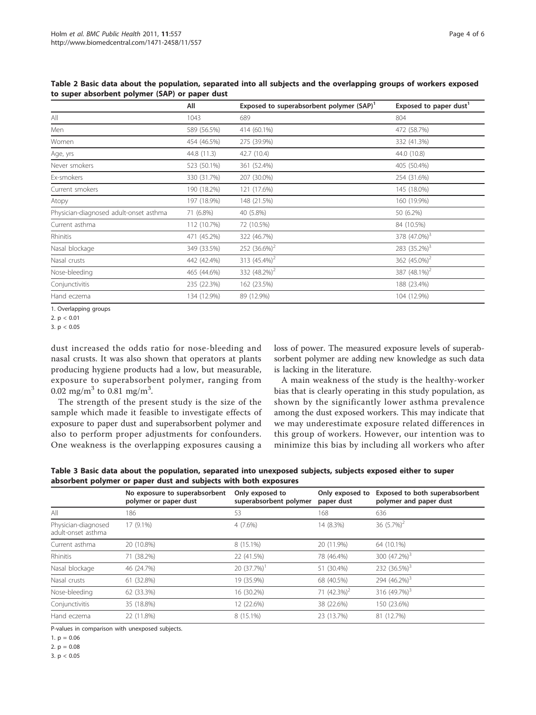|                                        | All         | Exposed to superabsorbent polymer (SAP) <sup>1</sup> | Exposed to paper dust <sup>1</sup> |
|----------------------------------------|-------------|------------------------------------------------------|------------------------------------|
| All                                    | 1043        | 689                                                  | 804                                |
| Men                                    | 589 (56.5%) | 414 (60.1%)                                          | 472 (58.7%)                        |
| Women                                  | 454 (46.5%) | 275 (39.9%)                                          | 332 (41.3%)                        |
| Age, yrs                               | 44.8 (11.3) | 42.7 (10.4)                                          | 44.0 (10.8)                        |
| Never smokers                          | 523 (50.1%) | 361 (52.4%)                                          | 405 (50.4%)                        |
| Ex-smokers                             | 330 (31.7%) | 207 (30.0%)                                          | 254 (31.6%)                        |
| Current smokers                        | 190 (18.2%) | 121 (17.6%)                                          | 145 (18.0%)                        |
| Atopy                                  | 197 (18.9%) | 148 (21.5%)                                          | 160 (19.9%)                        |
| Physician-diagnosed adult-onset asthma | 71 (6.8%)   | 40 (5.8%)                                            | 50 (6.2%)                          |
| Current asthma                         | 112 (10.7%) | 72 (10.5%)                                           | 84 (10.5%)                         |
| Rhinitis                               | 471 (45.2%) | 322 (46.7%)                                          | 378 (47.0%) <sup>3</sup>           |
| Nasal blockage                         | 349 (33.5%) | 252 (36.6%) <sup>2</sup>                             | 283 $(35.2\%)^3$                   |
| Nasal crusts                           | 442 (42.4%) | 313 $(45.4\%)^2$                                     | 362 $(45.0\%)^2$                   |
| Nose-bleeding                          | 465 (44.6%) | 332 $(48.2\%)^2$                                     | 387 $(48.1\%)^2$                   |
| Conjunctivitis                         | 235 (22.3%) | 162 (23.5%)                                          | 188 (23.4%)                        |
| Hand eczema                            | 134 (12.9%) | 89 (12.9%)                                           | 104 (12.9%)                        |

<span id="page-3-0"></span>Table 2 Basic data about the population, separated into all subjects and the overlapping groups of workers exposed to super absorbent polymer (SAP) or paper dust

1. Overlapping groups

2.  $p < 0.01$ 

3.  $p < 0.05$ 

dust increased the odds ratio for nose-bleeding and nasal crusts. It was also shown that operators at plants producing hygiene products had a low, but measurable, exposure to superabsorbent polymer, ranging from 0.02 mg/m<sup>3</sup> to 0.81 mg/m<sup>3</sup>.

The strength of the present study is the size of the sample which made it feasible to investigate effects of exposure to paper dust and superabsorbent polymer and also to perform proper adjustments for confounders. One weakness is the overlapping exposures causing a loss of power. The measured exposure levels of superabsorbent polymer are adding new knowledge as such data is lacking in the literature.

A main weakness of the study is the healthy-worker bias that is clearly operating in this study population, as shown by the significantly lower asthma prevalence among the dust exposed workers. This may indicate that we may underestimate exposure related differences in this group of workers. However, our intention was to minimize this bias by including all workers who after

Table 3 Basic data about the population, separated into unexposed subjects, subjects exposed either to super absorbent polymer or paper dust and subjects with both exposures

| --- ------ -- - --- --- -- -- --          |                                                        |                                           |                               |                                                          |  |  |
|-------------------------------------------|--------------------------------------------------------|-------------------------------------------|-------------------------------|----------------------------------------------------------|--|--|
|                                           | No exposure to superabsorbent<br>polymer or paper dust | Only exposed to<br>superabsorbent polymer | Only exposed to<br>paper dust | Exposed to both superabsorbent<br>polymer and paper dust |  |  |
| All                                       | 186                                                    | 53                                        | 168                           | 636                                                      |  |  |
| Physician-diagnosed<br>adult-onset asthma | 17 (9.1%)                                              | $4(7.6\%)$                                | 14 (8.3%)                     | 36 $(5.7\%)^2$                                           |  |  |
| Current asthma                            | 20 (10.8%)                                             | 8 (15.1%)                                 | 20 (11.9%)                    | 64 (10.1%)                                               |  |  |
| Rhinitis                                  | 71 (38.2%)                                             | 22 (41.5%)                                | 78 (46.4%)                    | 300 $(47.2\%)^3$                                         |  |  |
| Nasal blockage                            | 46 (24.7%)                                             | 20 $(37.7\%)$ <sup>1</sup>                | 51 (30.4%)                    | 232 (36.5%) <sup>3</sup>                                 |  |  |
| Nasal crusts                              | 61 (32.8%)                                             | 19 (35.9%)                                | 68 (40.5%)                    | 294 (46.2%) <sup>3</sup>                                 |  |  |
| Nose-bleeding                             | 62 (33.3%)                                             | 16 (30.2%)                                | 71 (42.3%) <sup>2</sup>       | 316 (49.7%) <sup>3</sup>                                 |  |  |
| Conjunctivitis                            | 35 (18.8%)                                             | 12 (22.6%)                                | 38 (22.6%)                    | 150 (23.6%)                                              |  |  |
| Hand eczema                               | 22 (11.8%)                                             | 8 (15.1%)                                 | 23 (13.7%)                    | 81 (12.7%)                                               |  |  |

P-values in comparison with unexposed subjects.

1.  $p = 0.06$ 

2.  $p = 0.08$ 

3.  $p < 0.05$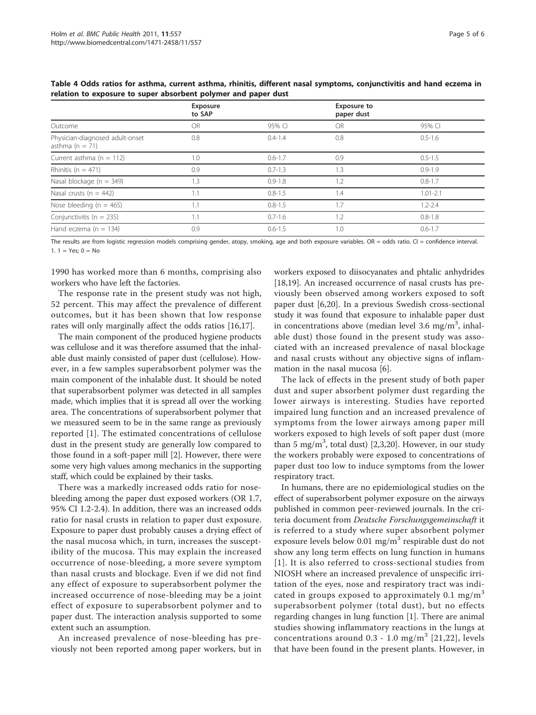|                                                        | Exposure<br>to SAP |             | <b>Exposure to</b><br>paper dust |              |
|--------------------------------------------------------|--------------------|-------------|----------------------------------|--------------|
| Outcome                                                | OR                 | 95% CI      | <b>OR</b>                        | 95% CI       |
| Physician-diagnosed adult-onset<br>asthma ( $n = 71$ ) | 0.8                | $0.4 - 1.4$ | 0.8                              | $0.5 - 1.6$  |
| Current asthma ( $n = 112$ )                           | 1.0                | $0.6 - 1.7$ | 0.9                              | $0.5 - 1.5$  |
| Rhinitis ( $n = 471$ )                                 | 0.9                | $0.7 - 1.3$ | 1.3                              | $0.9 - 1.9$  |
| Nasal blockage ( $n = 349$ )                           | 1.3                | $0.9 - 1.8$ | 1.2                              | $0.8 - 1.7$  |
| Nasal crusts ( $n = 442$ )                             | 1.1                | $0.8 - 1.5$ | 1.4                              | $1.01 - 2.1$ |
| Nose bleeding ( $n = 465$ )                            | 1.1                | $0.8 - 1.5$ | 1.7                              | $1.2 - 2.4$  |
| Conjunctivitis ( $n = 235$ )                           | 1.1                | $0.7 - 1.6$ | 1.2                              | $0.8 - 1.8$  |
| Hand eczema ( $n = 134$ )                              | 0.9                | $0.6 - 1.5$ | 1.0                              | $0.6 - 1.7$  |

<span id="page-4-0"></span>Table 4 Odds ratios for asthma, current asthma, rhinitis, different nasal symptoms, conjunctivitis and hand eczema in relation to exposure to super absorbent polymer and paper dust

The results are from logistic regression models comprising gender, atopy, smoking, age and both exposure variables. OR = odds ratio. CI = confidence interval. 1.  $1 = Yes: 0 = No$ 

1990 has worked more than 6 months, comprising also workers who have left the factories.

The response rate in the present study was not high, 52 percent. This may affect the prevalence of different outcomes, but it has been shown that low response rates will only marginally affect the odds ratios [\[16,17\]](#page-5-0).

The main component of the produced hygiene products was cellulose and it was therefore assumed that the inhalable dust mainly consisted of paper dust (cellulose). However, in a few samples superabsorbent polymer was the main component of the inhalable dust. It should be noted that superabsorbent polymer was detected in all samples made, which implies that it is spread all over the working area. The concentrations of superabsorbent polymer that we measured seem to be in the same range as previously reported [\[1](#page-5-0)]. The estimated concentrations of cellulose dust in the present study are generally low compared to those found in a soft-paper mill [[2\]](#page-5-0). However, there were some very high values among mechanics in the supporting staff, which could be explained by their tasks.

There was a markedly increased odds ratio for nosebleeding among the paper dust exposed workers (OR 1.7, 95% CI 1.2-2.4). In addition, there was an increased odds ratio for nasal crusts in relation to paper dust exposure. Exposure to paper dust probably causes a drying effect of the nasal mucosa which, in turn, increases the susceptibility of the mucosa. This may explain the increased occurrence of nose-bleeding, a more severe symptom than nasal crusts and blockage. Even if we did not find any effect of exposure to superabsorbent polymer the increased occurrence of nose-bleeding may be a joint effect of exposure to superabsorbent polymer and to paper dust. The interaction analysis supported to some extent such an assumption.

An increased prevalence of nose-bleeding has previously not been reported among paper workers, but in

workers exposed to diisocyanates and phtalic anhydrides [[18,19\]](#page-5-0). An increased occurrence of nasal crusts has previously been observed among workers exposed to soft paper dust [[6,20\]](#page-5-0). In a previous Swedish cross-sectional study it was found that exposure to inhalable paper dust in concentrations above (median level  $3.6 \text{ mg/m}^3$ , inhalable dust) those found in the present study was associated with an increased prevalence of nasal blockage and nasal crusts without any objective signs of inflammation in the nasal mucosa [\[6\]](#page-5-0).

The lack of effects in the present study of both paper dust and super absorbent polymer dust regarding the lower airways is interesting. Studies have reported impaired lung function and an increased prevalence of symptoms from the lower airways among paper mill workers exposed to high levels of soft paper dust (more than 5 mg/m<sup>3</sup>, total dust) [\[2,3,20](#page-5-0)]. However, in our study the workers probably were exposed to concentrations of paper dust too low to induce symptoms from the lower respiratory tract.

In humans, there are no epidemiological studies on the effect of superabsorbent polymer exposure on the airways published in common peer-reviewed journals. In the criteria document from Deutsche Forschungsgemeinschaft it is referred to a study where super absorbent polymer exposure levels below 0.01 mg/m<sup>3</sup> respirable dust do not show any long term effects on lung function in humans [[1\]](#page-5-0). It is also referred to cross-sectional studies from NIOSH where an increased prevalence of unspecific irritation of the eyes, nose and respiratory tract was indicated in groups exposed to approximately 0.1 mg/m<sup>3</sup> superabsorbent polymer (total dust), but no effects regarding changes in lung function [[1\]](#page-5-0). There are animal studies showing inflammatory reactions in the lungs at concentrations around  $0.3 - 1.0$  mg/m<sup>3</sup> [\[21,22\]](#page-5-0), levels that have been found in the present plants. However, in